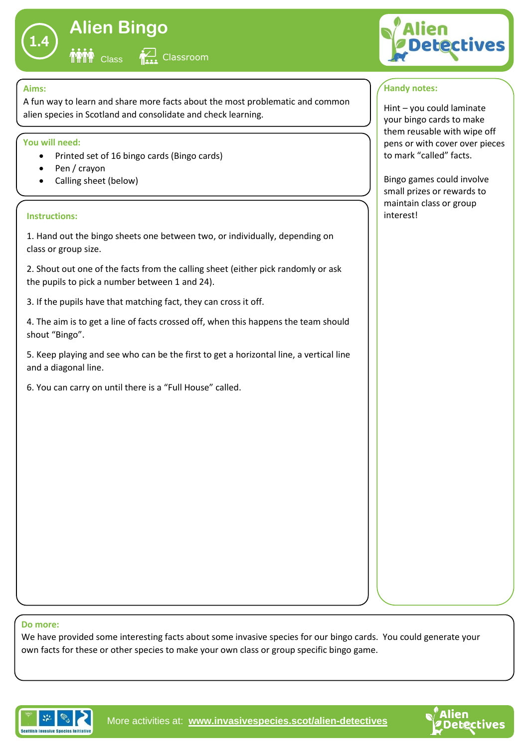

# **Alien Bingo Class** Classroom

#### **Aims:**

A fun way to learn and share more facts about the most problematic and common alien species in Scotland and consolidate and check learning.

### **You will need:**

- Printed set of 16 bingo cards (Bingo cards)
- Pen / crayon

II<sup>V</sup>IVIVI

• Calling sheet (below)

#### **Instructions:**

1. Hand out the bingo sheets one between two, or individually, depending on class or group size.

2. Shout out one of the facts from the calling sheet (either pick randomly or ask the pupils to pick a number between 1 and 24).

3. If the pupils have that matching fact, they can cross it off.

4. The aim is to get a line of facts crossed off, when this happens the team should shout "Bingo".

5. Keep playing and see who can be the first to get a horizontal line, a vertical line and a diagonal line.

6. You can carry on until there is a "Full House" called.



## **Handy notes:**

Hint – you could laminate your bingo cards to make them reusable with wipe off pens or with cover over pieces to mark "called" facts.

Bingo games could involve small prizes or rewards to maintain class or group interest!

#### **Do more:**

We have provided some interesting facts about some invasive species for our bingo cards. You could generate your own facts for these or other species to make your own class or group specific bingo game.